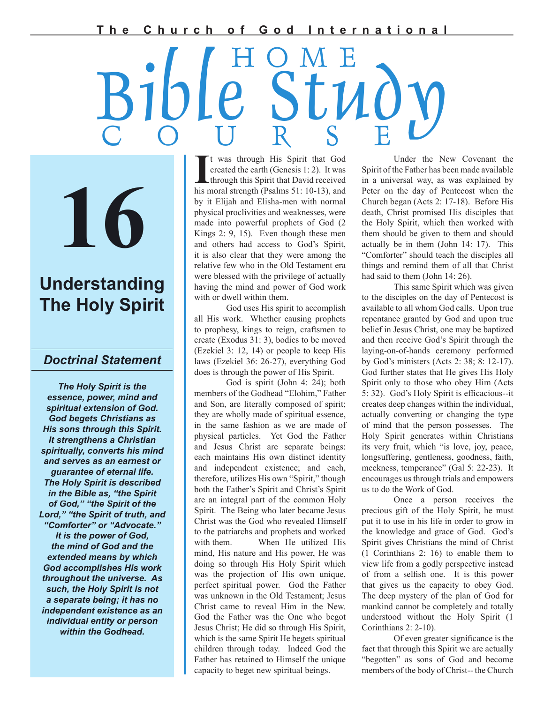**T h e C h u r c h o f G o d I n t e r n a t i o n a l**

# Bible Study C O U R S E H O M E

**16**

# **Understanding The Holy Spirit**

# *Doctrinal Statement*

*The Holy Spirit is the essence, power, mind and spiritual extension of God. God begets Christians as His sons through this Spirit. It strengthens a Christian spiritually, converts his mind and serves as an earnest or guarantee of eternal life. The Holy Spirit is described in the Bible as, "the Spirit of God," "the Spirit of the Lord," "the Spirit of truth, and "Comforter" or "Advocate." It is the power of God, the mind of God and the extended means by which God accomplishes His work throughout the universe. As such, the Holy Spirit is not a separate being; it has no independent existence as an individual entity or person within the Godhead.*

It was through His Spirit that God created the earth (Genesis 1: 2). It was through this Spirit that David received his moral strength (Psalms 51: 10-13), and t was through His Spirit that God created the earth (Genesis 1: 2). It was through this Spirit that David received by it Elijah and Elisha-men with normal physical proclivities and weaknesses, were made into powerful prophets of God (2 Kings 2: 9, 15). Even though these men and others had access to God's Spirit, it is also clear that they were among the relative few who in the Old Testament era were blessed with the privilege of actually having the mind and power of God work with or dwell within them.

 God uses His spirit to accomplish all His work. Whether causing prophets to prophesy, kings to reign, craftsmen to create (Exodus 31: 3), bodies to be moved (Ezekiel 3: 12, 14) or people to keep His laws (Ezekiel 36: 26-27), everything God does is through the power of His Spirit.

 God is spirit (John 4: 24); both members of the Godhead "Elohim," Father and Son, are literally composed of spirit; they are wholly made of spiritual essence, in the same fashion as we are made of physical particles. Yet God the Father and Jesus Christ are separate beings: each maintains His own distinct identity and independent existence; and each, therefore, utilizes His own "Spirit," though both the Father's Spirit and Christ's Spirit are an integral part of the common Holy Spirit. The Being who later became Jesus Christ was the God who revealed Himself to the patriarchs and prophets and worked with them. When He utilized His mind, His nature and His power, He was doing so through His Holy Spirit which was the projection of His own unique, perfect spiritual power. God the Father was unknown in the Old Testament; Jesus Christ came to reveal Him in the New. God the Father was the One who begot Jesus Christ; He did so through His Spirit, which is the same Spirit He begets spiritual children through today. Indeed God the Father has retained to Himself the unique capacity to beget new spiritual beings.

 Under the New Covenant the Spirit of the Father has been made available in a universal way, as was explained by Peter on the day of Pentecost when the Church began (Acts 2: 17-18). Before His death, Christ promised His disciples that the Holy Spirit, which then worked with them should be given to them and should actually be in them (John 14: 17). This "Comforter" should teach the disciples all things and remind them of all that Christ had said to them (John 14: 26).

 This same Spirit which was given to the disciples on the day of Pentecost is available to all whom God calls. Upon true repentance granted by God and upon true belief in Jesus Christ, one may be baptized and then receive God's Spirit through the laying-on-of-hands ceremony performed by God's ministers (Acts 2: 38; 8: 12-17). God further states that He gives His Holy Spirit only to those who obey Him (Acts 5: 32). God's Holy Spirit is efficacious--it creates deep changes within the individual, actually converting or changing the type of mind that the person possesses. The Holy Spirit generates within Christians its very fruit, which "is love, joy, peace, longsuffering, gentleness, goodness, faith, meekness, temperance" (Gal 5: 22-23). It encourages us through trials and empowers us to do the Work of God.

 Once a person receives the precious gift of the Holy Spirit, he must put it to use in his life in order to grow in the knowledge and grace of God. God's Spirit gives Christians the mind of Christ (1 Corinthians 2: 16) to enable them to view life from a godly perspective instead of from a selfish one. It is this power that gives us the capacity to obey God. The deep mystery of the plan of God for mankind cannot be completely and totally understood without the Holy Spirit (1 Corinthians 2: 2-10).

Of even greater significance is the fact that through this Spirit we are actually "begotten" as sons of God and become members of the body of Christ-- the Church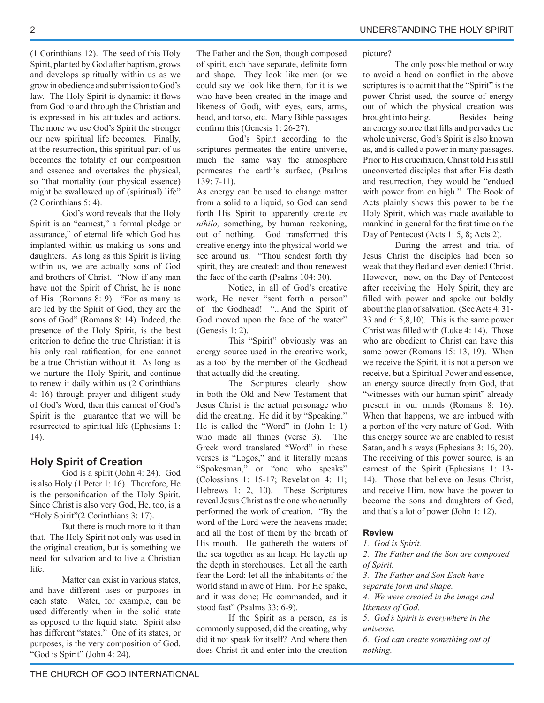(1 Corinthians 12). The seed of this Holy Spirit, planted by God after baptism, grows and develops spiritually within us as we grow in obedience and submission to God's law. The Holy Spirit is dynamic: it flows from God to and through the Christian and is expressed in his attitudes and actions. The more we use God's Spirit the stronger our new spiritual life becomes. Finally, at the resurrection, this spiritual part of us becomes the totality of our composition and essence and overtakes the physical, so "that mortality (our physical essence) might be swallowed up of (spiritual) life" (2 Corinthians 5: 4).

 God's word reveals that the Holy Spirit is an "earnest," a formal pledge or assurance," of eternal life which God has implanted within us making us sons and daughters. As long as this Spirit is living within us, we are actually sons of God and brothers of Christ. "Now if any man have not the Spirit of Christ, he is none of His (Romans 8: 9). "For as many as are led by the Spirit of God, they are the sons of God" (Romans 8: 14). Indeed, the presence of the Holy Spirit, is the best criterion to define the true Christian: it is his only real ratification, for one cannot be a true Christian without it. As long as we nurture the Holy Spirit, and continue to renew it daily within us (2 Corinthians 4: 16) through prayer and diligent study of God's Word, then this earnest of God's Spirit is the guarantee that we will be resurrected to spiritual life (Ephesians 1: 14).

# **Holy Spirit of Creation**

 God is a spirit (John 4: 24). God is also Holy (1 Peter 1: 16). Therefore, He is the personification of the Holy Spirit. Since Christ is also very God, He, too, is a "Holy Spirit"(2 Corinthians 3: 17).

 But there is much more to it than that. The Holy Spirit not only was used in the original creation, but is something we need for salvation and to live a Christian life.

 Matter can exist in various states, and have different uses or purposes in each state. Water, for example, can be used differently when in the solid state as opposed to the liquid state. Spirit also has different "states." One of its states, or purposes, is the very composition of God. "God is Spirit" (John 4: 24).

The Father and the Son, though composed of spirit, each have separate, definite form and shape. They look like men (or we could say we look like them, for it is we who have been created in the image and likeness of God), with eyes, ears, arms, head, and torso, etc. Many Bible passages confirm this (Genesis 1: 26-27).

 God's Spirit according to the scriptures permeates the entire universe, much the same way the atmosphere permeates the earth's surface, (Psalms 139: 7-11).

As energy can be used to change matter from a solid to a liquid, so God can send forth His Spirit to apparently create *ex nihilo,* something, by human reckoning, out of nothing. God transformed this creative energy into the physical world we see around us. "Thou sendest forth thy spirit, they are created: and thou renewest the face of the earth (Psalms 104: 30).

 Notice, in all of God's creative work, He never "sent forth a person" of the Godhead! "...And the Spirit of God moved upon the face of the water" (Genesis 1: 2).

 This "Spirit" obviously was an energy source used in the creative work, as a tool by the member of the Godhead that actually did the creating.

 The Scriptures clearly show in both the Old and New Testament that Jesus Christ is the actual personage who did the creating. He did it by "Speaking." He is called the "Word" in (John 1: 1) who made all things (verse 3). The Greek word translated "Word" in these verses is "Logos," and it literally means "Spokesman," or "one who speaks" (Colossians 1: 15-17; Revelation 4: 11; Hebrews 1: 2, 10). These Scriptures reveal Jesus Christ as the one who actually performed the work of creation. "By the word of the Lord were the heavens made; and all the host of them by the breath of His mouth. He gathereth the waters of the sea together as an heap: He layeth up the depth in storehouses. Let all the earth fear the Lord: let all the inhabitants of the world stand in awe of Him. For He spake, and it was done; He commanded, and it stood fast" (Psalms 33: 6-9).

 If the Spirit as a person, as is commonly supposed, did the creating, why did it not speak for itself? And where then does Christ fit and enter into the creation

picture?

 The only possible method or way to avoid a head on conflict in the above scriptures is to admit that the "Spirit" is the power Christ used, the source of energy out of which the physical creation was brought into being. Besides being an energy source that fills and pervades the whole universe, God's Spirit is also known as, and is called a power in many passages. Prior to His crucifixion, Christ told His still unconverted disciples that after His death and resurrection, they would be "endued with power from on high." The Book of Acts plainly shows this power to be the Holy Spirit, which was made available to mankind in general for the first time on the Day of Pentecost (Acts 1: 5, 8; Acts 2).

 During the arrest and trial of Jesus Christ the disciples had been so weak that they fled and even denied Christ. However, now, on the Day of Pentecost after receiving the Holy Spirit, they are filled with power and spoke out boldly about the plan of salvation. (See Acts 4: 31- 33 and 6: 5,8,10). This is the same power Christ was filled with (Luke 4: 14). Those who are obedient to Christ can have this same power (Romans 15: 13, 19). When we receive the Spirit, it is not a person we receive, but a Spiritual Power and essence, an energy source directly from God, that "witnesses with our human spirit" already present in our minds (Romans 8: 16). When that happens, we are imbued with a portion of the very nature of God. With this energy source we are enabled to resist Satan, and his ways (Ephesians 3: 16, 20). The receiving of this power source, is an earnest of the Spirit (Ephesians 1: 13- 14). Those that believe on Jesus Christ, and receive Him, now have the power to become the sons and daughters of God, and that's a lot of power (John 1: 12).

# **Review**

*1. God is Spirit.*

*2. The Father and the Son are composed of Spirit.*

*3. The Father and Son Each have separate form and shape.*

*4. We were created in the image and likeness of God.*

*5. God's Spirit is everywhere in the universe.*

*6. God can create something out of nothing.*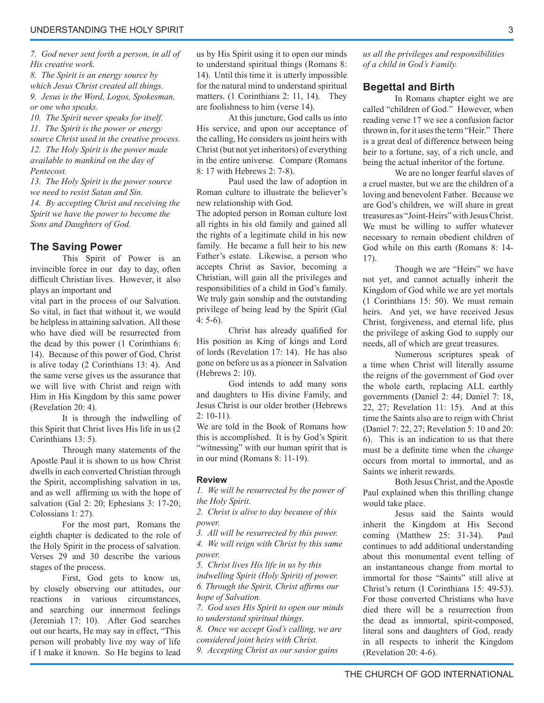*7. God never sent forth a person, in all of His creative work.*

*8. The Spirit is an energy source by which Jesus Christ created all things. 9. Jesus is the Word, Logos, Spokesman, or one who speaks.*

*10. The Spirit never speaks for itself. 11. The Spirit is the power or energy source Christ used in the creative process. 12. The Holy Spirit is the power made available to mankind on the day of Pentecost.*

*13. The Holy Spirit is the power source we need to resist Satan and Sin. 14. By accepting Christ and receiving the Spirit we have the power to become the Sons and Daughters of God.*

#### **The Saving Power**

 This Spirit of Power is an invincible force in our day to day, often difficult Christian lives. However, it also plays an important and

vital part in the process of our Salvation. So vital, in fact that without it, we would be helpless in attaining salvation. All those who have died will be resurrected from the dead by this power (1 Corinthians 6: 14). Because of this power of God, Christ is alive today (2 Corinthians 13: 4). And the same verse gives us the assurance that we will live with Christ and reign with Him in His Kingdom by this same power (Revelation 20: 4).

 It is through the indwelling of this Spirit that Christ lives His life in us (2 Corinthians 13: 5).

 Through many statements of the Apostle Paul it is shown to us how Christ dwells in each converted Christian through the Spirit, accomplishing salvation in us, and as well affirming us with the hope of salvation (Gal 2: 20; Ephesians 3: 17-20; Colossians 1: 27).

 For the most part, Romans the eighth chapter is dedicated to the role of the Holy Spirit in the process of salvation. Verses 29 and 30 describe the various stages of the process.

 First, God gets to know us, by closely observing our attitudes, our reactions in various circumstances, and searching our innermost feelings (Jeremiah 17: 10). After God searches out our hearts, He may say in effect, "This person will probably live my way of life if I make it known. So He begins to lead

us by His Spirit using it to open our minds to understand spiritual things (Romans 8: 14). Until this time it is utterly impossible for the natural mind to understand spiritual matters. (1 Corinthians 2: 11, 14). They are foolishness to him (verse 14).

 At this juncture, God calls us into His service, and upon our acceptance of the calling, He considers us joint heirs with Christ (but not yet inheritors) of everything in the entire universe. Compare (Romans 8: 17 with Hebrews 2: 7-8).

 Paul used the law of adoption in Roman culture to illustrate the believer's new relationship with God.

The adopted person in Roman culture lost all rights in his old family and gained all the rights of a legitimate child in his new family. He became a full heir to his new Father's estate. Likewise, a person who accepts Christ as Savior, becoming a Christian, will gain all the privileges and responsibilities of a child in God's family. We truly gain sonship and the outstanding privilege of being lead by the Spirit (Gal 4: 5-6).

Christ has already qualified for His position as King of kings and Lord of lords (Revelation 17: 14). He has also gone on before us as a pioneer in Salvation (Hebrews 2: 10).

 God intends to add many sons and daughters to His divine Family, and Jesus Christ is our older brother (Hebrews  $2: 10-11$ .

We are told in the Book of Romans how this is accomplished. It is by God's Spirit "witnessing" with our human spirit that is in our mind (Romans 8: 11-19).

#### **Review**

*1. We will be resurrected by the power of the Holy Spirit.*

*2. Christ is alive to day because of this power.*

*3. All will be resurrected by this power. 4. We will reign with Christ by this same power.*

*5. Christ lives His life in us by this indwelling Spirit (Holy Spirit) of power. 6. Through the Spirit, Christ affi rms our hope of Salvation.*

*7. God uses His Spirit to open our minds to understand spiritual things.*

*8. Once we accept God's calling, we are considered joint heirs with Christ.*

*9. Accepting Christ as our savior gains* 

*us all the privileges and responsibilities*   $of a \ child \ in \ God's \ Family.$ 

#### **Begettal and Birth**

 In Romans chapter eight we are called "children of God." However, when reading verse 17 we see a confusion factor thrown in, for it uses the term "Heir." There is a great deal of difference between being heir to a fortune, say, of a rich uncle, and being the actual inheritor of the fortune.

 We are no longer fearful slaves of a cruel master, but we are the children of a loving and benevolent Father. Because we are God's children, we will share in great treasures as "Joint-Heirs" with Jesus Christ. We must be willing to suffer whatever necessary to remain obedient children of God while on this earth (Romans 8: 14- 17).

 Though we are "Heirs" we have not yet, and cannot actually inherit the Kingdom of God while we are yet mortals (1 Corinthians 15: 50). We must remain heirs. And yet, we have received Jesus Christ, forgiveness, and eternal life, plus the privilege of asking God to supply our needs, all of which are great treasures.

 Numerous scriptures speak of a time when Christ will literally assume the reigns of the government of God over the whole earth, replacing ALL earthly governments (Daniel 2: 44; Daniel 7: 18, 22, 27; Revelation 11: 15). And at this time the Saints also are to reign with Christ (Daniel 7: 22, 27; Revelation 5: 10 and 20: 6). This is an indication to us that there must be a definite time when the *change* occurs from mortal to immortal, and as Saints we inherit rewards.

 Both Jesus Christ, and the Apostle Paul explained when this thrilling change would take place.

 Jesus said the Saints would inherit the Kingdom at His Second coming (Matthew 25: 31-34). Paul continues to add additional understanding about this monumental event telling of an instantaneous change from mortal to immortal for those "Saints" still alive at Christ's return (I Corinthians 15: 49-53). For those converted Christians who have died there will be a resurrection from the dead as immortal, spirit-composed, literal sons and daughters of God, ready in all respects to inherit the Kingdom (Revelation 20: 4-6).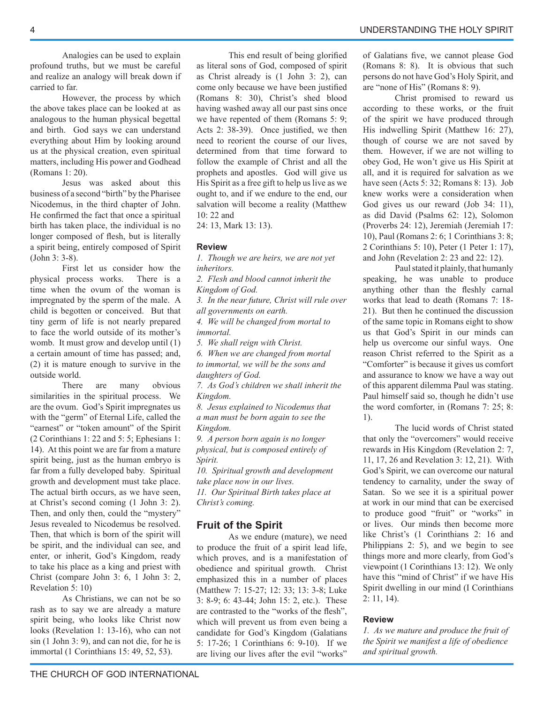Analogies can be used to explain profound truths, but we must be careful and realize an analogy will break down if carried to far.

 However, the process by which the above takes place can be looked at as analogous to the human physical begettal and birth. God says we can understand everything about Him by looking around us at the physical creation, even spiritual matters, including His power and Godhead (Romans 1: 20).

 Jesus was asked about this business of a second "birth" by the Pharisee Nicodemus, in the third chapter of John. He confirmed the fact that once a spiritual birth has taken place, the individual is no longer composed of flesh, but is literally a spirit being, entirely composed of Spirit (John 3: 3-8).

 First let us consider how the physical process works. There is a time when the ovum of the woman is impregnated by the sperm of the male. A child is begotten or conceived. But that tiny germ of life is not nearly prepared to face the world outside of its mother's womb. It must grow and develop until (1) a certain amount of time has passed; and, (2) it is mature enough to survive in the outside world.

 There are many obvious similarities in the spiritual process. We are the ovum. God's Spirit impregnates us with the "germ" of Eternal Life, called the "earnest" or "token amount" of the Spirit (2 Corinthians 1: 22 and 5: 5; Ephesians 1: 14). At this point we are far from a mature spirit being, just as the human embryo is far from a fully developed baby. Spiritual growth and development must take place. The actual birth occurs, as we have seen, at Christ's second coming (1 John 3: 2). Then, and only then, could the "mystery" Jesus revealed to Nicodemus be resolved. Then, that which is born of the spirit will be spirit, and the individual can see, and enter, or inherit, God's Kingdom, ready to take his place as a king and priest with Christ (compare John 3: 6, 1 John 3: 2, Revelation 5: 10)

 As Christians, we can not be so rash as to say we are already a mature spirit being, who looks like Christ now looks (Revelation 1: 13-16), who can not sin (1 John 3: 9), and can not die, for he is immortal (1 Corinthians 15: 49, 52, 53).

This end result of being glorified as literal sons of God, composed of spirit as Christ already is (1 John 3: 2), can come only because we have been justified (Romans 8: 30), Christ's shed blood having washed away all our past sins once we have repented of them (Romans 5: 9; Acts 2:  $38-39$ ). Once justified, we then need to reorient the course of our lives, determined from that time forward to follow the example of Christ and all the prophets and apostles. God will give us His Spirit as a free gift to help us live as we ought to, and if we endure to the end, our salvation will become a reality (Matthew 10: 22 and

24: 13, Mark 13: 13).

#### **Review**

*1. Though we are heirs, we are not yet inheritors.*

*2. Flesh and blood cannot inherit the Kingdom of God.*

*3. In the near future, Christ will rule over all governments on earth.*

*4. We will be changed from mortal to immortal.*

*5. We shall reign with Christ.*

*6. When we are changed from mortal to immortal, we will be the sons and daughters of God.*

*7. As God's children we shall inherit the Kingdom.*

*8. Jesus explained to Nicodemus that a man must be born again to see the Kingdom.*

*9. A person born again is no longer physical, but is composed entirely of Spirit.*

*10. Spiritual growth and development take place now in our lives.*

*11. Our Spiritual Birth takes place at Christ's coming.* 

# **Fruit of the Spirit**

 As we endure (mature), we need to produce the fruit of a spirit lead life, which proves, and is a manifestation of obedience and spiritual growth. Christ emphasized this in a number of places (Matthew 7: 15-27; 12: 33; 13: 3-8; Luke 3: 8-9; 6: 43-44; John 15: 2, etc.). These are contrasted to the "works of the flesh", which will prevent us from even being a candidate for God's Kingdom (Galatians 5: 17-26; 1 Corinthians 6: 9-10). If we are living our lives after the evil "works"

of Galatians five, we cannot please God (Romans 8: 8). It is obvious that such persons do not have God's Holy Spirit, and are "none of His" (Romans 8: 9).

 Christ promised to reward us according to these works, or the fruit of the spirit we have produced through His indwelling Spirit (Matthew 16: 27), though of course we are not saved by them. However, if we are not willing to obey God, He won't give us His Spirit at all, and it is required for salvation as we have seen (Acts 5: 32; Romans 8: 13). Job knew works were a consideration when God gives us our reward (Job 34: 11), as did David (Psalms 62: 12), Solomon (Proverbs 24: 12), Jeremiah (Jeremiah 17: 10), Paul (Romans 2: 6; 1 Corinthians 3: 8; 2 Corinthians 5: 10), Peter (1 Peter 1: 17), and John (Revelation 2: 23 and 22: 12).

 Paul stated it plainly, that humanly speaking, he was unable to produce anything other than the fleshly carnal works that lead to death (Romans 7: 18- 21). But then he continued the discussion of the same topic in Romans eight to show us that God's Spirit in our minds can help us overcome our sinful ways. One reason Christ referred to the Spirit as a "Comforter" is because it gives us comfort and assurance to know we have a way out of this apparent dilemma Paul was stating. Paul himself said so, though he didn't use the word comforter, in (Romans 7: 25; 8: 1).

 The lucid words of Christ stated that only the "overcomers" would receive rewards in His Kingdom (Revelation 2: 7, 11, 17, 26 and Revelation 3: 12, 21). With God's Spirit, we can overcome our natural tendency to carnality, under the sway of Satan. So we see it is a spiritual power at work in our mind that can be exercised to produce good "fruit" or "works" in or lives. Our minds then become more like Christ's (1 Corinthians 2: 16 and Philippians 2: 5), and we begin to see things more and more clearly, from God's viewpoint (1 Corinthians 13: 12). We only have this "mind of Christ" if we have His Spirit dwelling in our mind (I Corinthians 2: 11, 14).

#### **Review**

*1. As we mature and produce the fruit of the Spirit we manifest a life of obedience and spiritual growth.*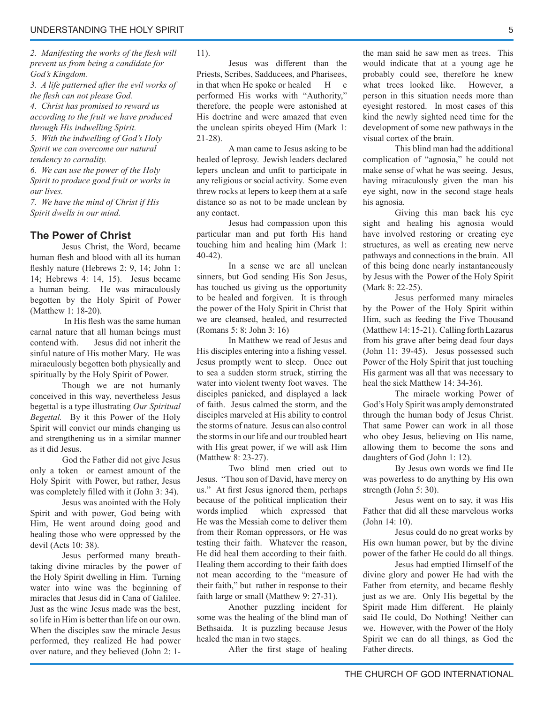2. Manifesting the works of the flesh will *prevent us from being a candidate for God's Kingdom.*

*3. A life patterned after the evil works of the flesh can not please God.* 

*4. Christ has promised to reward us according to the fruit we have produced through His indwelling Spirit.*

*5. With the indwelling of God's Holy Spirit we can overcome our natural tendency to carnality.*

*6. We can use the power of the Holy Spirit to produce good fruit or works in our lives.*

*7. We have the mind of Christ if His Spirit dwells in our mind.*

# **The Power of Christ**

 Jesus Christ, the Word, became human flesh and blood with all its human fleshly nature (Hebrews 2: 9, 14; John 1: 14; Hebrews 4: 14, 15). Jesus became a human being. He was miraculously begotten by the Holy Spirit of Power (Matthew 1: 18-20).

In His flesh was the same human carnal nature that all human beings must contend with. Jesus did not inherit the sinful nature of His mother Mary. He was miraculously begotten both physically and spiritually by the Holy Spirit of Power.

 Though we are not humanly conceived in this way, nevertheless Jesus begettal is a type illustrating *Our Spiritual Begettal.* By it this Power of the Holy Spirit will convict our minds changing us and strengthening us in a similar manner as it did Jesus.

 God the Father did not give Jesus only a token or earnest amount of the Holy Spirit with Power, but rather, Jesus was completely filled with it (John 3: 34).

 Jesus was anointed with the Holy Spirit and with power, God being with Him, He went around doing good and healing those who were oppressed by the devil (Acts 10: 38).

 Jesus performed many breathtaking divine miracles by the power of the Holy Spirit dwelling in Him. Turning water into wine was the beginning of miracles that Jesus did in Cana of Galilee. Just as the wine Jesus made was the best, so life in Him is better than life on our own. When the disciples saw the miracle Jesus performed, they realized He had power over nature, and they believed (John 2: 1-

#### 11).

 Jesus was different than the Priests, Scribes, Sadducees, and Pharisees, in that when He spoke or healed H e performed His works with "Authority," therefore, the people were astonished at His doctrine and were amazed that even the unclean spirits obeyed Him (Mark 1: 21-28).

 A man came to Jesus asking to be healed of leprosy. Jewish leaders declared lepers unclean and unfit to participate in any religious or social activity. Some even threw rocks at lepers to keep them at a safe distance so as not to be made unclean by any contact.

 Jesus had compassion upon this particular man and put forth His hand touching him and healing him (Mark 1: 40-42).

 In a sense we are all unclean sinners, but God sending His Son Jesus, has touched us giving us the opportunity to be healed and forgiven. It is through the power of the Holy Spirit in Christ that we are cleansed, healed, and resurrected (Romans 5: 8; John 3: 16)

 In Matthew we read of Jesus and His disciples entering into a fishing vessel. Jesus promptly went to sleep. Once out to sea a sudden storm struck, stirring the water into violent twenty foot waves. The disciples panicked, and displayed a lack of faith. Jesus calmed the storm, and the disciples marveled at His ability to control the storms of nature. Jesus can also control the storms in our life and our troubled heart with His great power, if we will ask Him (Matthew 8: 23-27).

 Two blind men cried out to Jesus. "Thou son of David, have mercy on us." At first Jesus ignored them, perhaps because of the political implication their words implied which expressed that He was the Messiah come to deliver them from their Roman oppressors, or He was testing their faith. Whatever the reason, He did heal them according to their faith. Healing them according to their faith does not mean according to the "measure of their faith," but rather in response to their faith large or small (Matthew 9: 27-31).

 Another puzzling incident for some was the healing of the blind man of Bethsaida. It is puzzling because Jesus healed the man in two stages.

After the first stage of healing

the man said he saw men as trees. This would indicate that at a young age he probably could see, therefore he knew what trees looked like. However, a person in this situation needs more than eyesight restored. In most cases of this kind the newly sighted need time for the development of some new pathways in the visual cortex of the brain.

 This blind man had the additional complication of "agnosia," he could not make sense of what he was seeing. Jesus, having miraculously given the man his eye sight, now in the second stage heals his agnosia.

 Giving this man back his eye sight and healing his agnosia would have involved restoring or creating eye structures, as well as creating new nerve pathways and connections in the brain. All of this being done nearly instantaneously by Jesus with the Power of the Holy Spirit (Mark 8: 22-25).

 Jesus performed many miracles by the Power of the Holy Spirit within Him, such as feeding the Five Thousand (Matthew 14: 15-21). Calling forth Lazarus from his grave after being dead four days (John 11: 39-45). Jesus possessed such Power of the Holy Spirit that just touching His garment was all that was necessary to heal the sick Matthew 14: 34-36).

 The miracle working Power of God's Holy Spirit was amply demonstrated through the human body of Jesus Christ. That same Power can work in all those who obey Jesus, believing on His name, allowing them to become the sons and daughters of God (John 1: 12).

By Jesus own words we find He was powerless to do anything by His own strength (John 5: 30).

 Jesus went on to say, it was His Father that did all these marvelous works (John 14: 10).

 Jesus could do no great works by His own human power, but by the divine power of the father He could do all things.

 Jesus had emptied Himself of the divine glory and power He had with the Father from eternity, and became fleshly just as we are. Only His begettal by the Spirit made Him different. He plainly said He could, Do Nothing! Neither can we. However, with the Power of the Holy Spirit we can do all things, as God the Father directs.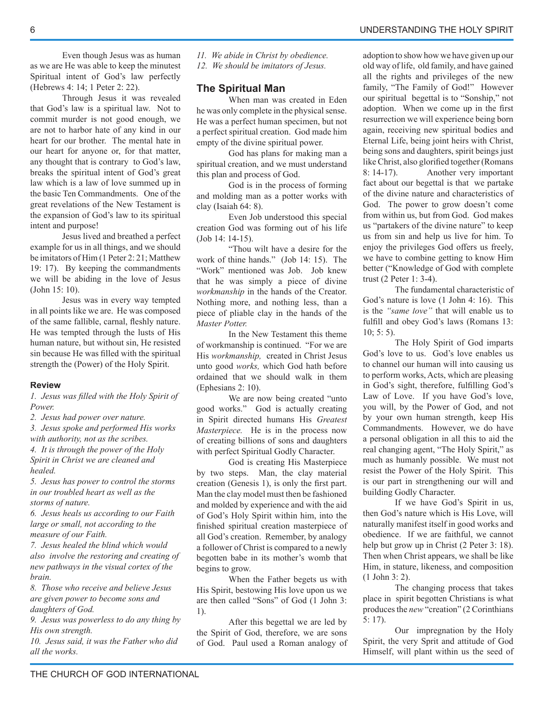Even though Jesus was as human as we are He was able to keep the minutest Spiritual intent of God's law perfectly (Hebrews 4: 14; 1 Peter 2: 22).

 Through Jesus it was revealed that God's law is a spiritual law. Not to commit murder is not good enough, we are not to harbor hate of any kind in our heart for our brother. The mental hate in our heart for anyone or, for that matter, any thought that is contrary to God's law, breaks the spiritual intent of God's great law which is a law of love summed up in the basic Ten Commandments. One of the great revelations of the New Testament is the expansion of God's law to its spiritual intent and purpose!

 Jesus lived and breathed a perfect example for us in all things, and we should be imitators of Him (1 Peter 2: 21; Matthew 19: 17). By keeping the commandments we will be abiding in the love of Jesus (John 15: 10).

 Jesus was in every way tempted in all points like we are. He was composed of the same fallible, carnal, fleshly nature. He was tempted through the lusts of His human nature, but without sin, He resisted sin because He was filled with the spiritual strength the (Power) of the Holy Spirit.

#### **Review**

*1. Jesus was fi lled with the Holy Spirit of Power.*

*2. Jesus had power over nature.*

*3. Jesus spoke and performed His works with authority, not as the scribes.*

*4. It is through the power of the Holy Spirit in Christ we are cleaned and healed.*

*5. Jesus has power to control the storms in our troubled heart as well as the storms of nature.*

*6. Jesus heals us according to our Faith large or small, not according to the measure of our Faith.*

*7. Jesus healed the blind which would also involve the restoring and creating of new pathways in the visual cortex of the brain.*

*8. Those who receive and believe Jesus are given power to become sons and daughters of God.*

*9. Jesus was powerless to do any thing by His own strength.*

*10. Jesus said, it was the Father who did all the works.*

*11. We abide in Christ by obedience. 12. We should be imitators of Jesus.*

#### **The Spiritual Man**

 When man was created in Eden he was only complete in the physical sense. He was a perfect human specimen, but not a perfect spiritual creation. God made him empty of the divine spiritual power.

 God has plans for making man a spiritual creation, and we must understand this plan and process of God.

 God is in the process of forming and molding man as a potter works with clay (Isaiah 64: 8).

 Even Job understood this special creation God was forming out of his life (Job 14: 14-15).

 "Thou wilt have a desire for the work of thine hands." (Job 14: 15). The "Work" mentioned was Job. Job knew that he was simply a piece of divine *workmanship* in the hands of the Creator. Nothing more, and nothing less, than a piece of pliable clay in the hands of the *Master Potter.*

 In the New Testament this theme of workmanship is continued. "For we are His *workmanship,* created in Christ Jesus unto good *works,* which God hath before ordained that we should walk in them (Ephesians 2: 10).

 We are now being created "unto good works." God is actually creating in Spirit directed humans His *Greatest Masterpiece.* He is in the process now of creating billions of sons and daughters with perfect Spiritual Godly Character.

 God is creating His Masterpiece by two steps. Man, the clay material creation (Genesis 1), is only the first part. Man the clay model must then be fashioned and molded by experience and with the aid of God's Holy Spirit within him, into the finished spiritual creation masterpiece of all God's creation. Remember, by analogy a follower of Christ is compared to a newly begotten babe in its mother's womb that begins to grow.

 When the Father begets us with His Spirit, bestowing His love upon us we are then called "Sons" of God (1 John 3: 1).

 After this begettal we are led by the Spirit of God, therefore, we are sons of God. Paul used a Roman analogy of adoption to show how we have given up our old way of life, old family, and have gained all the rights and privileges of the new family, "The Family of God!" However our spiritual begettal is to "Sonship," not adoption. When we come up in the first resurrection we will experience being born again, receiving new spiritual bodies and Eternal Life, being joint heirs with Christ, being sons and daughters, spirit beings just like Christ, also glorified together (Romans 8: 14-17). Another very important fact about our begettal is that we partake of the divine nature and characteristics of God. The power to grow doesn't come from within us, but from God. God makes us "partakers of the divine nature" to keep us from sin and help us live for him. To enjoy the privileges God offers us freely, we have to combine getting to know Him better ("Knowledge of God with complete trust (2 Peter 1: 3-4).

 The fundamental characteristic of God's nature is love (1 John 4: 16). This is the *"same love"* that will enable us to fulfill and obey God's laws (Romans 13: 10; 5: 5).

 The Holy Spirit of God imparts God's love to us. God's love enables us to channel our human will into causing us to perform works, Acts, which are pleasing in God's sight, therefore, fulfilling God's Law of Love. If you have God's love, you will, by the Power of God, and not by your own human strength, keep His Commandments. However, we do have a personal obligation in all this to aid the real changing agent, "The Holy Spirit," as much as humanly possible. We must not resist the Power of the Holy Spirit. This is our part in strengthening our will and building Godly Character.

 If we have God's Spirit in us, then God's nature which is His Love, will naturally manifest itself in good works and obedience. If we are faithful, we cannot help but grow up in Christ (2 Peter 3: 18). Then when Christ appears, we shall be like Him, in stature, likeness, and composition (1 John 3: 2).

 The changing process that takes place in spirit begotten Christians is what produces the *new* "creation" (2 Corinthians 5: 17).

 Our impregnation by the Holy Spirit, the very Sprit and attitude of God Himself, will plant within us the seed of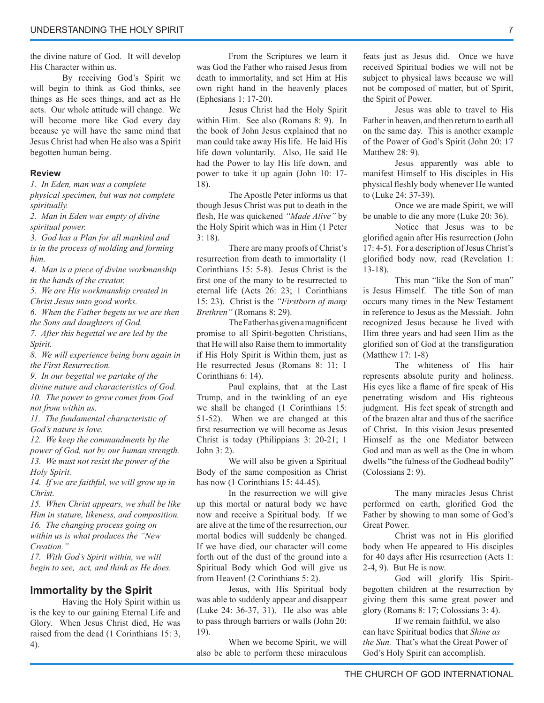the divine nature of God. It will develop His Character within us.

 By receiving God's Spirit we will begin to think as God thinks, see things as He sees things, and act as He acts. Our whole attitude will change. We will become more like God every day because ye will have the same mind that Jesus Christ had when He also was a Spirit begotten human being.

#### **Review**

*1. In Eden, man was a complete physical specimen, but was not complete spiritually.*

*2. Man in Eden was empty of divine spiritual power.*

*3. God has a Plan for all mankind and is in the process of molding and forming him.*

*4. Man is a piece of divine workmanship in the hands of the creator.*

*5. We are His workmanship created in Christ Jesus unto good works.*

*6. When the Father begets us we are then the Sons and daughters of God.*

*7. After this begettal we are led by the Spirit.*

*8. We will experience being born again in the First Resurrection.*

*9. In our begettal we partake of the divine nature and characteristics of God. 10. The power to grow comes from God not from within us.*

*11. The fundamental characteristic of God's nature is love.* 

*12. We keep the commandments by the power of God, not by our human strength.*

*13. We must not resist the power of the Holy Spirit.*

*14. If we are faithful, we will grow up in Christ.*

*15. When Christ appears, we shall be like Him in stature, likeness, and composition. 16. The changing process going on within us is what produces the "New Creation."*

*17. With God's Spirit within, we will begin to see, act, and think as He does.*

# **Immortality by the Spirit**

 Having the Holy Spirit within us is the key to our gaining Eternal Life and Glory. When Jesus Christ died, He was raised from the dead (1 Corinthians 15: 3, 4).

 From the Scriptures we learn it was God the Father who raised Jesus from death to immortality, and set Him at His own right hand in the heavenly places (Ephesians 1: 17-20).

 Jesus Christ had the Holy Spirit within Him. See also (Romans 8: 9). In the book of John Jesus explained that no man could take away His life. He laid His life down voluntarily. Also, He said He had the Power to lay His life down, and power to take it up again (John 10: 17- 18).

 The Apostle Peter informs us that though Jesus Christ was put to death in the flesh, He was quickened "Made Alive" by the Holy Spirit which was in Him (1 Peter 3: 18).

 There are many proofs of Christ's resurrection from death to immortality (1 Corinthians 15: 5-8). Jesus Christ is the first one of the many to be resurrected to eternal life (Acts 26: 23; 1 Corinthians 15: 23). Christ is the "Firstborn of many *Brethren"* (Romans 8: 29).

The Father has given a magnificent promise to all Spirit-begotten Christians, that He will also Raise them to immortality if His Holy Spirit is Within them, just as He resurrected Jesus (Romans 8: 11; 1 Corinthians 6: 14).

 Paul explains, that at the Last Trump, and in the twinkling of an eye we shall be changed (1 Corinthians 15: 51-52). When we are changed at this first resurrection we will become as Jesus Christ is today (Philippians 3: 20-21; 1 John 3: 2).

 We will also be given a Spiritual Body of the same composition as Christ has now  $(1$  Corinthians 15: 44-45).

 In the resurrection we will give up this mortal or natural body we have now and receive a Spiritual body. If we are alive at the time of the resurrection, our mortal bodies will suddenly be changed. If we have died, our character will come forth out of the dust of the ground into a Spiritual Body which God will give us from Heaven! (2 Corinthians 5: 2).

 Jesus, with His Spiritual body was able to suddenly appear and disappear (Luke 24: 36-37, 31). He also was able to pass through barriers or walls (John 20: 19).

 When we become Spirit, we will also be able to perform these miraculous

feats just as Jesus did. Once we have received Spiritual bodies we will not be subject to physical laws because we will not be composed of matter, but of Spirit, the Spirit of Power.

 Jesus was able to travel to His Father in heaven, and then return to earth all on the same day. This is another example of the Power of God's Spirit (John 20: 17 Matthew 28: 9).

 Jesus apparently was able to manifest Himself to His disciples in His physical fleshly body whenever He wanted to (Luke 24: 37-39).

 Once we are made Spirit, we will be unable to die any more (Luke 20: 36).

 Notice that Jesus was to be glorified again after His resurrection (John 17: 4-5). For a description of Jesus Christ's glorified body now, read (Revelation 1: 13-18).

 This man "like the Son of man" is Jesus Himself. The title Son of man occurs many times in the New Testament in reference to Jesus as the Messiah. John recognized Jesus because he lived with Him three years and had seen Him as the glorified son of God at the transfiguration (Matthew 17: 1-8)

The whiteness of His hair represents absolute purity and holiness. His eyes like a flame of fire speak of His penetrating wisdom and His righteous judgment. His feet speak of strength and of the brazen altar and thus of the sacrifice of Christ. In this vision Jesus presented Himself as the one Mediator between God and man as well as the One in whom dwells "the fulness of the Godhead bodily" (Colossians 2: 9).

 The many miracles Jesus Christ performed on earth, glorified God the Father by showing to man some of God's Great Power.

Christ was not in His glorified body when He appeared to His disciples for 40 days after His resurrection (Acts 1: 2-4, 9). But He is now.

 God will glorify His Spiritbegotten children at the resurrection by giving them this same great power and glory (Romans 8: 17; Colossians 3: 4).

 If we remain faithful, we also can have Spiritual bodies that *Shine as the Sun.* That's what the Great Power of God's Holy Spirit can accomplish.